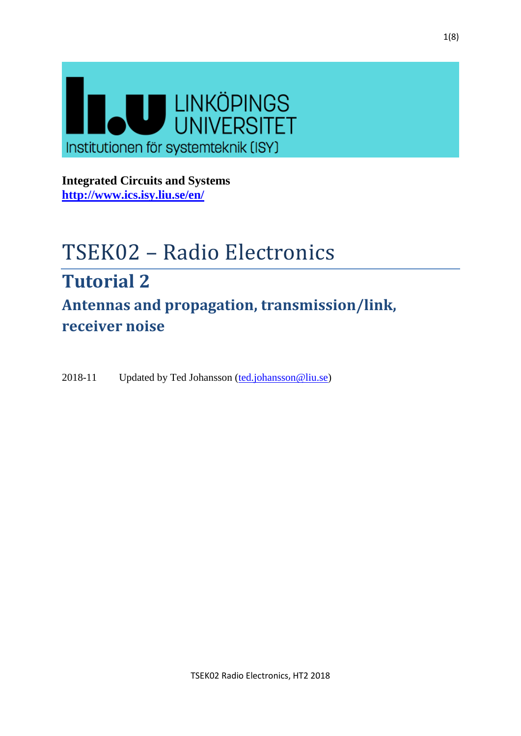

**Integrated Circuits and Systems <http://www.ics.isy.liu.se/en/>**

# TSEK02 – Radio Electronics **Tutorial 2**

**Antennas and propagation, transmission/link, receiver noise**

2018-11 Updated by Ted Johansson [\(ted.johansson@liu.se\)](mailto:ted.johansson@liu.se)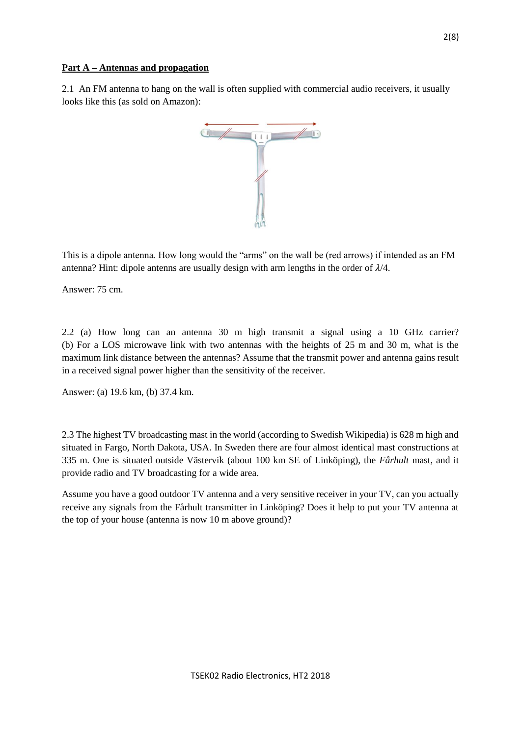## **Part A – Antennas and propagation**

2.1 An FM antenna to hang on the wall is often supplied with commercial audio receivers, it usually looks like this (as sold on Amazon):



This is a dipole antenna. How long would the "arms" on the wall be (red arrows) if intended as an FM antenna? Hint: dipole antenns are usually design with arm lengths in the order of  $\lambda/4$ .

Answer: 75 cm.

2.2 (a) How long can an antenna 30 m high transmit a signal using a 10 GHz carrier? (b) For a LOS microwave link with two antennas with the heights of 25 m and 30 m, what is the maximum link distance between the antennas? Assume that the transmit power and antenna gains result in a received signal power higher than the sensitivity of the receiver.

Answer: (a) 19.6 km, (b) 37.4 km.

2.3 The highest TV broadcasting mast in the world (according to Swedish Wikipedia) is 628 m high and situated in Fargo, North Dakota, USA. In Sweden there are four almost identical mast constructions at 335 m. One is situated outside Västervik (about 100 km SE of Linköping), the *Fårhult* mast, and it provide radio and TV broadcasting for a wide area.

Assume you have a good outdoor TV antenna and a very sensitive receiver in your TV, can you actually receive any signals from the Fårhult transmitter in Linköping? Does it help to put your TV antenna at the top of your house (antenna is now 10 m above ground)?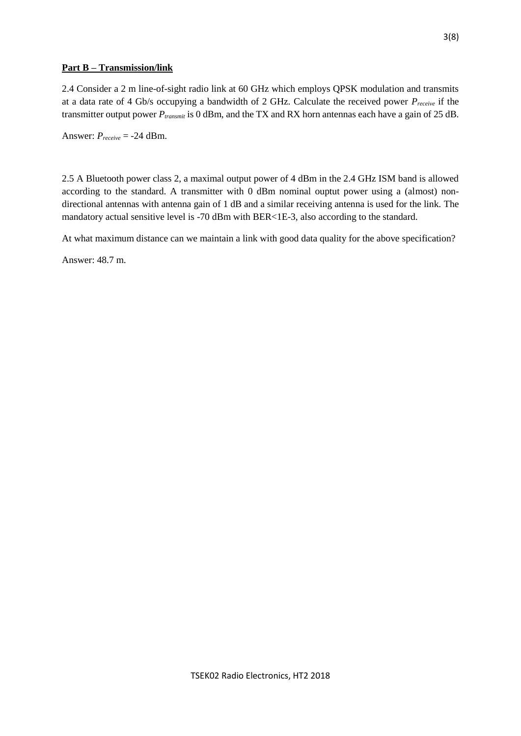## **Part B – Transmission/link**

2.4 Consider a 2 m line-of-sight radio link at 60 GHz which employs QPSK modulation and transmits at a data rate of 4 Gb/s occupying a bandwidth of 2 GHz. Calculate the received power *Preceive* if the transmitter output power *Ptransmit* is 0 dBm, and the TX and RX horn antennas each have a gain of 25 dB.

Answer:  $P_{receive} = -24$  dBm.

2.5 A Bluetooth power class 2, a maximal output power of 4 dBm in the 2.4 GHz ISM band is allowed according to the standard. A transmitter with 0 dBm nominal ouptut power using a (almost) nondirectional antennas with antenna gain of 1 dB and a similar receiving antenna is used for the link. The mandatory actual sensitive level is -70 dBm with BER<1E-3, also according to the standard.

At what maximum distance can we maintain a link with good data quality for the above specification?

Answer: 48.7 m.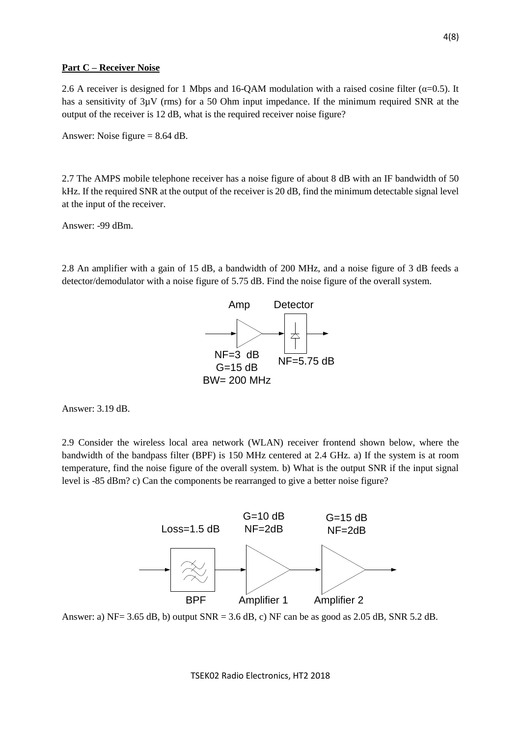#### **Part C – Receiver Noise**

2.6 A receiver is designed for 1 Mbps and 16-QAM modulation with a raised cosine filter ( $\alpha$ =0.5). It has a sensitivity of  $3\mu$ V (rms) for a 50 Ohm input impedance. If the minimum required SNR at the output of the receiver is 12 dB, what is the required receiver noise figure?

Answer: Noise figure = 8.64 dB.

2.7 The AMPS mobile telephone receiver has a noise figure of about 8 dB with an IF bandwidth of 50 kHz. If the required SNR at the output of the receiver is 20 dB, find the minimum detectable signal level at the input of the receiver.

Answer: -99 dBm.

2.8 An amplifier with a gain of 15 dB, a bandwidth of 200 MHz, and a noise figure of 3 dB feeds a detector/demodulator with a noise figure of 5.75 dB. Find the noise figure of the overall system.



Answer: 3.19 dB.

2.9 Consider the wireless local area network (WLAN) receiver frontend shown below, where the bandwidth of the bandpass filter (BPF) is 150 MHz centered at 2.4 GHz. a) If the system is at room temperature, find the noise figure of the overall system. b) What is the output SNR if the input signal level is -85 dBm? c) Can the components be rearranged to give a better noise figure?



Answer: a) NF= 3.65 dB, b) output SNR = 3.6 dB, c) NF can be as good as 2.05 dB, SNR 5.2 dB.

TSEK02 Radio Electronics, HT2 2018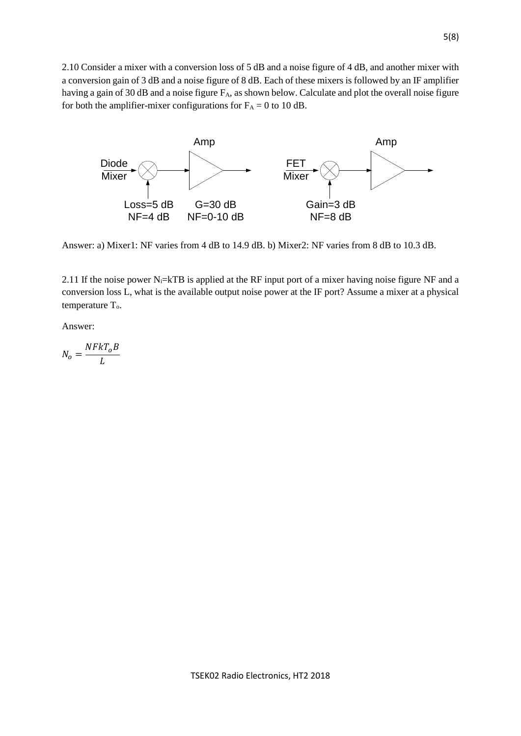2.10 Consider a mixer with a conversion loss of 5 dB and a noise figure of 4 dB, and another mixer with a conversion gain of 3 dB and a noise figure of 8 dB. Each of these mixers is followed by an IF amplifier having a gain of 30 dB and a noise figure F<sub>A</sub>, as shown below. Calculate and plot the overall noise figure for both the amplifier-mixer configurations for  $F_A = 0$  to 10 dB.



Answer: a) Mixer1: NF varies from 4 dB to 14.9 dB. b) Mixer2: NF varies from 8 dB to 10.3 dB.

2.11 If the noise power N<sub>i</sub>=kTB is applied at the RF input port of a mixer having noise figure NF and a conversion loss L, what is the available output noise power at the IF port? Assume a mixer at a physical temperature  $T<sub>o</sub>$ .

Answer:

 $N_o =$  $NFKT_OB$ L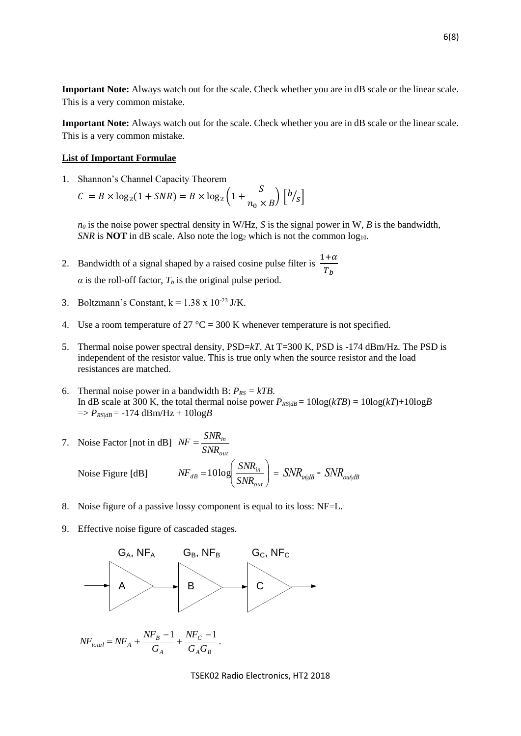**Important Note:** Always watch out for the scale. Check whether you are in dB scale or the linear scale. This is a very common mistake.

**Important Note:** Always watch out for the scale. Check whether you are in dB scale or the linear scale. This is a very common mistake.

#### **List of Important Formulae**

1. Shannon's Channel Capacity Theorem

 $C = B \times \log_2(1 + SNR) = B \times \log_2(1 +$ S  $\frac{5}{n_0 \times B}$   $\left[\frac{b}{s}\right]$ 

 $n_0$  is the noise power spectral density in W/Hz, *S* is the signal power in W, *B* is the bandwidth, *SNR* is **NOT** in dB scale. Also note the  $log_2$  which is not the common  $log_{10}$ .

- 2. Bandwidth of a signal shaped by a raised cosine pulse filter is  $\frac{1+\alpha}{\pi}$  $T_b$  $\alpha$  is the roll-off factor,  $T_b$  is the original pulse period.
- 3. Boltzmann's Constant,  $k = 1.38 \times 10^{-23}$  J/K.
- 4. Use a room temperature of 27  $^{\circ}C = 300$  K whenever temperature is not specified.
- 5. Thermal noise power spectral density, PSD=*kT*. At T=300 K, PSD is -174 dBm/Hz. The PSD is independent of the resistor value. This is true only when the source resistor and the load resistances are matched.
- 6. Thermal noise power in a bandwidth B:  $P_{RS} = kTB$ . In dB scale at 300 K, the total thermal noise power  $P_{RS/dB} = 10\log(kTB) = 10\log(kT) + 10\log(B)$  $\Rightarrow$  *P<sub>RS|dB</sub>* = -174 dBm/Hz + 10log*B*

7. Noise Factor [not in dB] 
$$
NF = \frac{SNR_{in}}{SNR_{out}}
$$
  
Noise Figure [dB]  $NF_{dB} = 10 \log \left( \frac{SNR_{in}}{SNR_{out}} \right) = SNR_{in|dB} - SNR_{out|dB}$ 

- 8. Noise figure of a passive lossy component is equal to its loss: NF=L.
- 9. Effective noise figure of cascaded stages.



$$
NF_{total} = NF_A + \frac{NF_B - 1}{G_A} + \frac{NF_C - 1}{G_A G_B}
$$
.

TSEK02 Radio Electronics, HT2 2018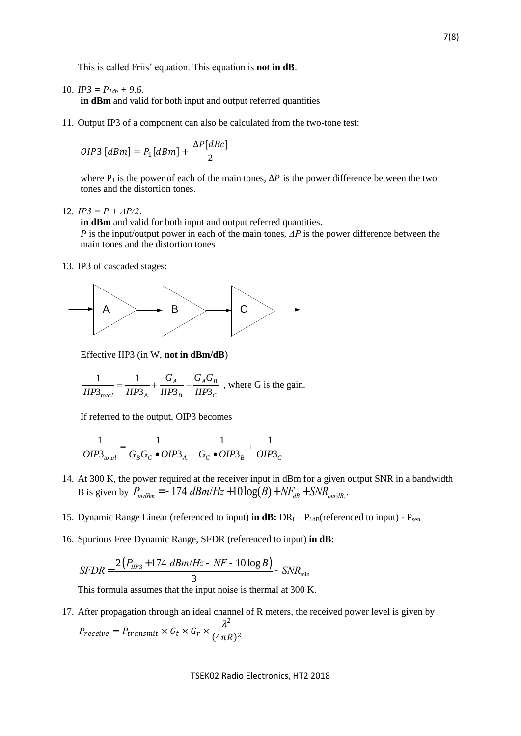This is called Friis' equation. This equation is **not in dB**.

10.  $IP3 = P_{1db} + 9.6$ .

**in dBm** and valid for both input and output referred quantities

11. Output IP3 of a component can also be calculated from the two-tone test:

$$
OIP3\;[dBm] = P_1[dBm] + \frac{\Delta P[dBc]}{2}
$$

where P<sub>1</sub> is the power of each of the main tones,  $\Delta P$  is the power difference between the two tones and the distortion tones.

12. *IP3 = P + ΔP/2*.

**in dBm** and valid for both input and output referred quantities.

*P* is the input/output power in each of the main tones, *ΔP* is the power difference between the main tones and the distortion tones

13. IP3 of cascaded stages:



Effective IIP3 (in W, **not in dBm/dB**)

$$
\frac{1}{IIP3_{total}} = \frac{1}{IIP3_A} + \frac{G_A}{IIP3_B} + \frac{G_A G_B}{IIP3_C}
$$
, where G is the gain.

If referred to the output, OIP3 becomes

$$
\frac{1}{OIP3_{total}} = \frac{1}{G_B G_C \bullet OIP3_A} + \frac{1}{G_C \bullet OIP3_B} + \frac{1}{OIP3_C}
$$

- 14. At 300 K, the power required at the receiver input in dBm for a given output SNR in a bandwidth B is given by  $P_{in|dBm} = -174$   $dBm/Hz + 10log(B) + NF_{dB} + SNR_{out|dB}$ .
- 15. Dynamic Range Linear (referenced to input) **in dB:** DR<sub>L</sub>= P<sub>1dB</sub>(referenced to input) P<sub>sen.</sub>
- 16. Spurious Free Dynamic Range, SFDR (referenced to input) **in dB:**

$$
SFDR = \frac{2(P_{HP3} + 174 \text{ dBm}/Hz - NF - 10\log B)}{3} - SNR_{min}
$$

This formula assumes that the input noise is thermal at 300 K.

17. After propagation through an ideal channel of R meters, the received power level is given by  $P_{receive} = P_{transmit} \times G_t \times G_r \times$  $\lambda^2$  $(4\pi R)^2$